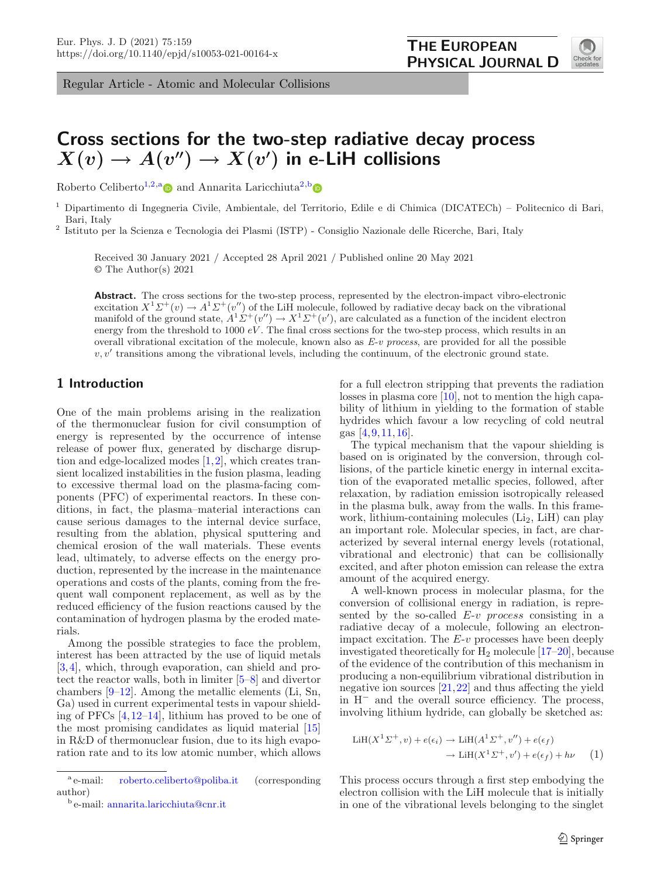Regular Article - Atomic and Molecular Collisions



# **Cross sections for the two-step radiative decay process**  $X(v) \to A(v'') \to X(v')$  in e-LiH collisions

Roberto Celiberto<sup>[1,2,](#page-0-0)[a](http://orcid.org/0000-0002-7068-6939)</sup> and Annarita Laricchiuta<sup>[2,](#page-0-0)[b](http://orcid.org/0000-0002-6752-7419)</sup>

<sup>1</sup> Dipartimento di Ingegneria Civile, Ambientale, del Territorio, Edile e di Chimica (DICATECh) – Politecnico di Bari, Bari, Italy

<sup>2</sup> Istituto per la Scienza e Tecnologia dei Plasmi (ISTP) - Consiglio Nazionale delle Ricerche, Bari, Italy

<span id="page-0-0"></span>Received 30 January 2021 / Accepted 28 April 2021 / Published online 20 May 2021 © The Author(s) 2021

**Abstract.** The cross sections for the two-step process, represented by the electron-impact vibro-electronic excitation  $X^1 \Sigma^+(v) \to A^1 \Sigma^+(v'')$  of the LiH molecule, followed by radiative decay back on the vibrational manifold of the ground state,  $A^T \Sigma^+ (\nu'') \to X^T \Sigma^+ (\nu'),$  are calculated as a function of the incident electron energy from the threshold to 1000  $eV$ . The final cross sections for the two-step process, which results in an overall vibrational excitation of the molecule, known also as *E-v process*, are provided for all the possible  $v, v'$  transitions among the vibrational levels, including the continuum, of the electronic ground state.

# **1 Introduction**

One of the main problems arising in the realization of the thermonuclear fusion for civil consumption of energy is represented by the occurrence of intense release of power flux, generated by discharge disruption and edge-localized modes [\[1](#page-5-0),[2\]](#page-5-1), which creates transient localized instabilities in the fusion plasma, leading to excessive thermal load on the plasma-facing components (PFC) of experimental reactors. In these conditions, in fact, the plasma–material interactions can cause serious damages to the internal device surface, resulting from the ablation, physical sputtering and chemical erosion of the wall materials. These events lead, ultimately, to adverse effects on the energy production, represented by the increase in the maintenance operations and costs of the plants, coming from the frequent wall component replacement, as well as by the reduced efficiency of the fusion reactions caused by the contamination of hydrogen plasma by the eroded materials.

Among the possible strategies to face the problem, interest has been attracted by the use of liquid metals [\[3,](#page-5-2)[4\]](#page-5-3), which, through evaporation, can shield and protect the reactor walls, both in limiter [\[5](#page-5-4)[–8](#page-5-5)] and divertor chambers  $[9-12]$  $[9-12]$ . Among the metallic elements (Li, Sn, Ga) used in current experimental tests in vapour shielding of PFCs [\[4](#page-5-3)[,12](#page-5-7)[–14\]](#page-5-8), lithium has proved to be one of the most promising candidates as liquid material [\[15](#page-5-9)] in R&D of thermonuclear fusion, due to its high evaporation rate and to its low atomic number, which allows

for a full electron stripping that prevents the radiation losses in plasma core [\[10](#page-5-10)], not to mention the high capability of lithium in yielding to the formation of stable hydrides which favour a low recycling of cold neutral gas [\[4](#page-5-3),[9,](#page-5-6)[11,](#page-5-11)[16](#page-5-12)].

The typical mechanism that the vapour shielding is based on is originated by the conversion, through collisions, of the particle kinetic energy in internal excitation of the evaporated metallic species, followed, after relaxation, by radiation emission isotropically released in the plasma bulk, away from the walls. In this framework, lithium-containing molecules  $(Li<sub>2</sub>, LiH)$  can play an important role. Molecular species, in fact, are characterized by several internal energy levels (rotational, vibrational and electronic) that can be collisionally excited, and after photon emission can release the extra amount of the acquired energy.

A well-known process in molecular plasma, for the conversion of collisional energy in radiation, is represented by the so-called  $E$ -v process consisting in a radiative decay of a molecule, following an electronimpact excitation. The  $E-v$  processes have been deeply investigated theoretically for  $H_2$  molecule  $[17–20]$  $[17–20]$  $[17–20]$ , because of the evidence of the contribution of this mechanism in producing a non-equilibrium vibrational distribution in negative ion sources [\[21](#page-5-15)[,22](#page-5-16)] and thus affecting the yield in H<sup>−</sup> and the overall source efficiency. The process, involving lithium hydride, can globally be sketched as:

<span id="page-0-1"></span>
$$
LiH(X1\Sigma+, v) + e(\epsilon_i) \rightarrow LiH(A1\Sigma+, v'') + e(\epsilon_f)
$$
  

$$
\rightarrow LiH(X1\Sigma+, v') + e(\epsilon_f) + h\nu \qquad (1)
$$

This process occurs through a first step embodying the electron collision with the LiH molecule that is initially in one of the vibrational levels belonging to the singlet

<sup>a</sup> e-mail: [roberto.celiberto@poliba.it](mailto:roberto.celiberto@poliba.it) (corresponding author)

<sup>b</sup> e-mail: [annarita.laricchiuta@cnr.it](mailto:annarita.laricchiuta@cnr.it)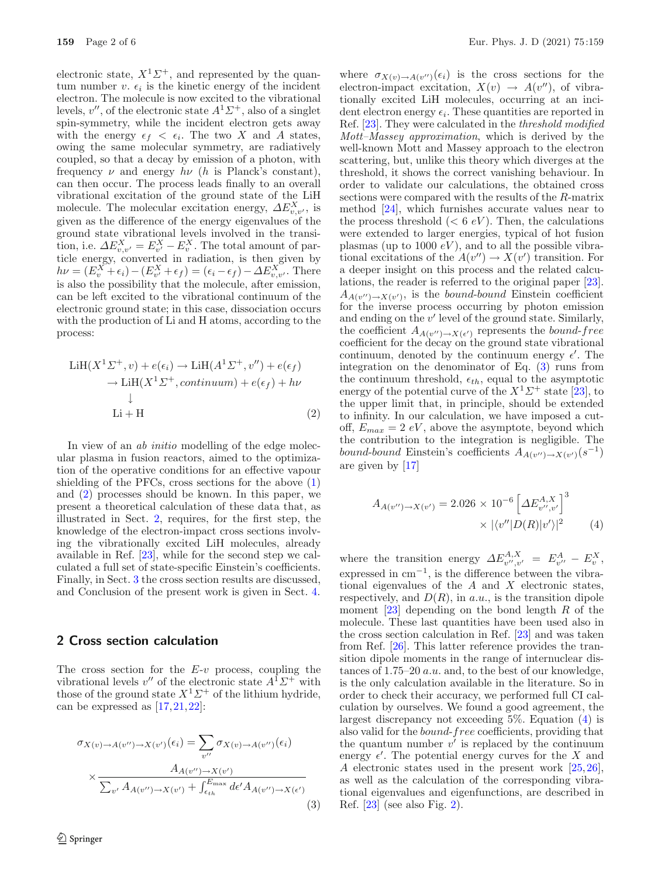electronic state,  $X^1\Sigma^+$ , and represented by the quantum number v.  $\epsilon_i$  is the kinetic energy of the incident electron. The molecule is now excited to the vibrational levels,  $v''$ , of the electronic state  $A<sup>1</sup>Σ<sup>+</sup>$ , also of a singlet spin-symmetry, while the incident electron gets away with the energy  $\epsilon_f < \epsilon_i$ . The two X and A states, owing the same molecular symmetry, are radiatively coupled, so that a decay by emission of a photon, with frequency  $\nu$  and energy  $h\nu$  (h is Planck's constant), can then occur. The process leads finally to an overall vibrational excitation of the ground state of the LiH molecule. The molecular excitation energy,  $\Delta E_{v,v'}^X$ , is given as the difference of the energy eigenvalues of the ground state vibrational levels involved in the transition, i.e.  $\Delta E_{v,v'}^X = E_{v'}^X - E_v^X$ . The total amount of particle energy, converted in radiation, is then given by  $h\nu = (E_v^X + \epsilon_i) - (E_{v'}^X + \epsilon_f) = (\epsilon_i - \epsilon_f) - \Delta E_{v,v'}^X$ . There is also the possibility that the molecule, after emission, can be left excited to the vibrational continuum of the electronic ground state; in this case, dissociation occurs with the production of Li and H atoms, according to the process:

<span id="page-1-0"></span>
$$
\text{LiH}(X^{1}\Sigma^{+}, v) + e(\epsilon_{i}) \rightarrow \text{LiH}(A^{1}\Sigma^{+}, v'') + e(\epsilon_{f})
$$
  
\n
$$
\rightarrow \text{LiH}(X^{1}\Sigma^{+}, \text{continuum}) + e(\epsilon_{f}) + h\nu
$$
  
\n
$$
\downarrow
$$
  
\nLi + H (2)

In view of an *ab initio* modelling of the edge molecular plasma in fusion reactors, aimed to the optimization of the operative conditions for an effective vapour shielding of the PFCs, cross sections for the above [\(1\)](#page-0-1) and [\(2\)](#page-1-0) processes should be known. In this paper, we present a theoretical calculation of these data that, as illustrated in Sect. [2,](#page-1-1) requires, for the first step, the knowledge of the electron-impact cross sections involving the vibrationally excited LiH molecules, already available in Ref. [\[23\]](#page-5-17), while for the second step we calculated a full set of state-specific Einstein's coefficients. Finally, in Sect. [3](#page-2-0) the cross section results are discussed, and Conclusion of the present work is given in Sect. [4.](#page-4-0)

## <span id="page-1-1"></span>**2 Cross section calculation**

The cross section for the  $E-v$  process, coupling the vibrational levels  $v''$  of the electronic state  $A^{\hat{1}}\Sigma^{+}$  with those of the ground state  $X^1\Sigma^+$  of the lithium hydride, can be expressed as  $[17, 21, 22]$  $[17, 21, 22]$  $[17, 21, 22]$  $[17, 21, 22]$ :

<span id="page-1-2"></span>
$$
\sigma_{X(v)\to A(v'')\to X(v')}(\epsilon_i) = \sum_{v''} \sigma_{X(v)\to A(v'')}(\epsilon_i)
$$

$$
\times \frac{A_{A(v'')\to X(v')}}{\sum_{v'} A_{A(v'')\to X(v')} + \int_{\epsilon_{th}}^{E_{\text{max}}} d\epsilon' A_{A(v'')\to X(\epsilon')}}
$$
(3)

where  $\sigma_{X(v) \to A(v'')}(\epsilon_i)$  is the cross sections for the electron-impact excitation,  $X(v) \rightarrow A(v'')$ , of vibrationally excited LiH molecules, occurring at an incident electron energy  $\epsilon_i$ . These quantities are reported in Ref. [\[23\]](#page-5-17). They were calculated in the *threshold modified Mott–Massey approximation*, which is derived by the well-known Mott and Massey approach to the electron scattering, but, unlike this theory which diverges at the threshold, it shows the correct vanishing behaviour. In order to validate our calculations, the obtained cross sections were compared with the results of the R-matrix method [\[24](#page-5-18)], which furnishes accurate values near to the process threshold  $(< 6 eV)$ . Then, the calculations were extended to larger energies, typical of hot fusion plasmas (up to 1000  $eV$ ), and to all the possible vibrational excitations of the  $A(v'') \to X(v')$  transition. For a deeper insight on this process and the related calculations, the reader is referred to the original paper [\[23\]](#page-5-17).  $A_{A(v'')\to X(v')}$ , is the *bound-bound* Einstein coefficient for the inverse process occurring by photon emission and ending on the  $v'$  level of the ground state. Similarly, the coefficient  $A_{A(v'')\to X(\epsilon')}$  represents the *bound-free* coefficient for the decay on the ground state vibrational continuum, denoted by the continuum energy  $\epsilon'$ . The integration on the denominator of Eq. [\(3\)](#page-1-2) runs from the continuum threshold,  $\epsilon_{th}$ , equal to the asymptotic energy of the potential curve of the  $X<sup>1</sup>\Sigma^{+}$  state [\[23](#page-5-17)], to the upper limit that, in principle, should be extended to infinity. In our calculation, we have imposed a cutoff,  $E_{max} = 2 eV$ , above the asymptote, beyond which the contribution to the integration is negligible. The bound-bound Einstein's coefficients  $A_{A(v'')\to X(v')}(s^{-1})$ are given by [\[17](#page-5-13)]

<span id="page-1-3"></span>
$$
A_{A(v'') \to X(v')} = 2.026 \times 10^{-6} \left[ \Delta E_{v'',v'}^{A,X} \right]^3 \times |\langle v''| D(R) |v' \rangle|^2 \tag{4}
$$

where the transition energy  $\Delta E^{A,X}_{v'',v'} = E^A_{v''} - E^X_v$ , expressed in  $cm^{-1}$ , is the difference between the vibrational eigenvalues of the  $A$  and  $X$  electronic states, respectively, and  $D(R)$ , in a.u., is the transition dipole moment  $[23]$  $[23]$  depending on the bond length R of the molecule. These last quantities have been used also in the cross section calculation in Ref. [\[23](#page-5-17)] and was taken from Ref. [\[26\]](#page-5-19). This latter reference provides the transition dipole moments in the range of internuclear distances of 1.75–20 a.u. and, to the best of our knowledge, is the only calculation available in the literature. So in order to check their accuracy, we performed full CI calculation by ourselves. We found a good agreement, the largest discrepancy not exceeding 5%. Equation [\(4\)](#page-1-3) is also valid for the bound-free coefficients, providing that the quantum number  $v'$  is replaced by the continuum energy  $\epsilon'$ . The potential energy curves for the X and A electronic states used in the present work [\[25](#page-5-20),[26\]](#page-5-19), as well as the calculation of the corresponding vibrational eigenvalues and eigenfunctions, are described in Ref.  $[23]$  (see also Fig. [2\)](#page-3-0).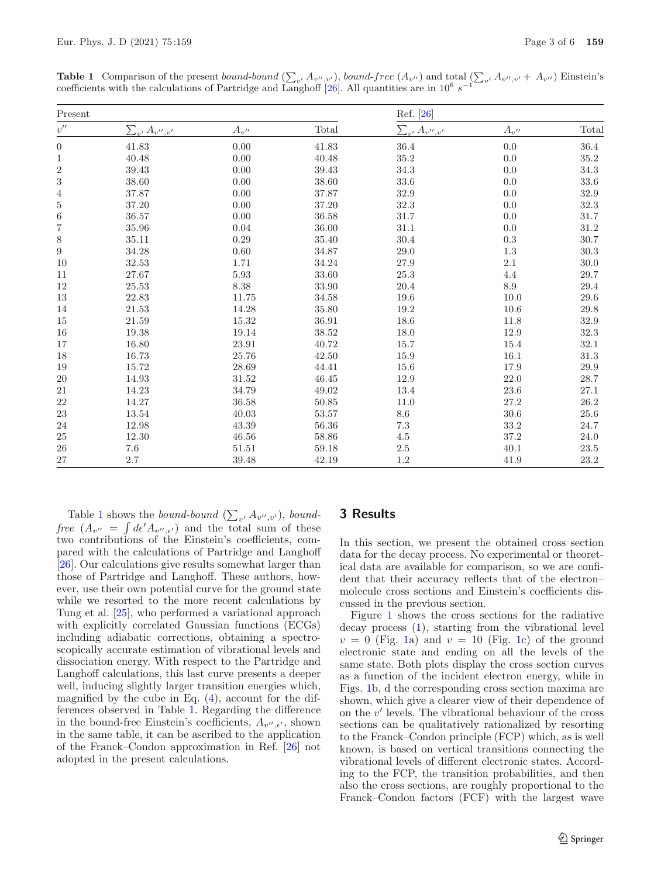<span id="page-2-1"></span>**Table 1** Comparison of the present bound-bound  $(\sum_{v'} A_{v'',v'})$ , bound-free  $(A_{v''})$  and total  $(\sum_{v'} A_{v'',v'} + A_{v''})$  Einstein's coefficients with the calculations of Partridge and Langhoff [\[26](#page-5-19)]. All quantities are in  $10^6$  s<sup>−1</sup>

| Present            |                        |                        |           | Ref. [26]              |                        |          |
|--------------------|------------------------|------------------------|-----------|------------------------|------------------------|----------|
| $v^{\prime\prime}$ | $\sum_{v'} A_{v'',v'}$ | $A_{v^{\prime\prime}}$ | Total     | $\sum_{v'} A_{v'',v'}$ | $A_{v^{\prime\prime}}$ | Total    |
| $\boldsymbol{0}$   | 41.83                  | 0.00                   | 41.83     | 36.4                   | 0.0                    | $36.4\,$ |
| 1                  | 40.48                  | 0.00                   | 40.48     | $35.2\,$               | $0.0\,$                | 35.2     |
| $\overline{c}$     | 39.43                  | 0.00                   | 39.43     | 34.3                   | 0.0                    | 34.3     |
| 3                  | 38.60                  | 0.00                   | 38.60     | $33.6\,$               | 0.0                    | 33.6     |
| $\overline{4}$     | 37.87                  | 0.00                   | 37.87     | $32.9\,$               | 0.0                    | $32.9\,$ |
| $\overline{5}$     | 37.20                  | $0.00\,$               | 37.20     | 32.3                   | $0.0\,$                | 32.3     |
| 6                  | 36.57                  | 0.00                   | 36.58     | 31.7                   | 0.0                    | 31.7     |
| $\overline{7}$     | 35.96                  | 0.04                   | 36.00     | $31.1\,$               | 0.0                    | 31.2     |
| 8                  | 35.11                  | $0.29\,$               | 35.40     | $30.4\,$               | $\rm 0.3$              | 30.7     |
| $\boldsymbol{9}$   | 34.28                  | 0.60                   | 34.87     | 29.0                   | $1.3\,$                | 30.3     |
| 10                 | $32.53\,$              | 1.71                   | 34.24     | $27.9\,$               | $2.1\,$                | 30.0     |
| 11                 | 27.67                  | $5.93\,$               | 33.60     | 25.3                   | $4.4\,$                | 29.7     |
| $12\,$             | 25.53                  | $8.38\,$               | $33.90\,$ | $20.4\,$               | $8.9\,$                | 29.4     |
| 13                 | 22.83                  | 11.75                  | 34.58     | 19.6                   | 10.0                   | 29.6     |
| 14                 | 21.53                  | 14.28                  | 35.80     | 19.2                   | 10.6                   | 29.8     |
| 15                 | $21.59\,$              | 15.32                  | 36.91     | $18.6\,$               | 11.8                   | 32.9     |
| 16                 | 19.38                  | 19.14                  | 38.52     | $18.0\,$               | 12.9                   | 32.3     |
| 17                 | 16.80                  | $23.91\,$              | 40.72     | 15.7                   | 15.4                   | 32.1     |
| 18                 | 16.73                  | 25.76                  | 42.50     | 15.9                   | $16.1\,$               | 31.3     |
| 19                 | 15.72                  | $28.69\,$              | 44.41     | 15.6                   | $17.9\,$               | 29.9     |
| 20                 | 14.93                  | $31.52\,$              | 46.45     | 12.9                   | $22.0\,$               | $28.7\,$ |
| 21                 | 14.23                  | 34.79                  | 49.02     | 13.4                   | 23.6                   | 27.1     |
| 22                 | 14.27                  | $36.58\,$              | 50.85     | 11.0                   | $27.2\,$               | 26.2     |
| 23                 | 13.54                  | $40.03\,$              | 53.57     | $8.6\,$                | $30.6\,$               | 25.6     |
| 24                 | 12.98                  | 43.39                  | 56.36     | 7.3                    | 33.2                   | 24.7     |
| $25\,$             | $12.30\,$              | $46.56\,$              | $58.86\,$ | 4.5                    | $37.2\,$               | 24.0     |
| 26                 | $7.6\,$                | 51.51                  | 59.18     | 2.5                    | 40.1                   | 23.5     |
| 27                 | 2.7                    | 39.48                  | 42.19     | 1.2                    | 41.9                   | 23.2     |

Table [1](#page-2-1) shows the *bound-bound*  $(\sum_{v'} A_{v'',v'}),$  *boundfree*  $(A_{v''} = \int d\epsilon' A_{v'',\epsilon'})$  and the total sum of these two contributions of the Einstein's coefficients, compared with the calculations of Partridge and Langhoff [\[26\]](#page-5-19). Our calculations give results somewhat larger than those of Partridge and Langhoff. These authors, however, use their own potential curve for the ground state while we resorted to the more recent calculations by Tung et al. [\[25\]](#page-5-20), who performed a variational approach with explicitly correlated Gaussian functions (ECGs) including adiabatic corrections, obtaining a spectroscopically accurate estimation of vibrational levels and dissociation energy. With respect to the Partridge and Langhoff calculations, this last curve presents a deeper well, inducing slightly larger transition energies which, magnified by the cube in Eq.  $(4)$ , account for the differences observed in Table [1.](#page-2-1) Regarding the difference in the bound-free Einstein's coefficients,  $A_{v'',\epsilon'}$ , shown in the same table, it can be ascribed to the application of the Franck–Condon approximation in Ref. [\[26\]](#page-5-19) not adopted in the present calculations.

#### <span id="page-2-0"></span>**3 Results**

In this section, we present the obtained cross section data for the decay process. No experimental or theoretical data are available for comparison, so we are confident that their accuracy reflects that of the electron– molecule cross sections and Einstein's coefficients discussed in the previous section.

Figure [1](#page-3-1) shows the cross sections for the radiative decay process [\(1\)](#page-0-1), starting from the vibrational level  $v = 0$  (Fig. [1a](#page-3-1)) and  $v = 10$  (Fig. [1c](#page-3-1)) of the ground electronic state and ending on all the levels of the same state. Both plots display the cross section curves as a function of the incident electron energy, while in Figs. [1b](#page-3-1), d the corresponding cross section maxima are shown, which give a clearer view of their dependence of on the  $v'$  levels. The vibrational behaviour of the cross sections can be qualitatively rationalized by resorting to the Franck–Condon principle (FCP) which, as is well known, is based on vertical transitions connecting the vibrational levels of different electronic states. According to the FCP, the transition probabilities, and then also the cross sections, are roughly proportional to the Franck–Condon factors (FCF) with the largest wave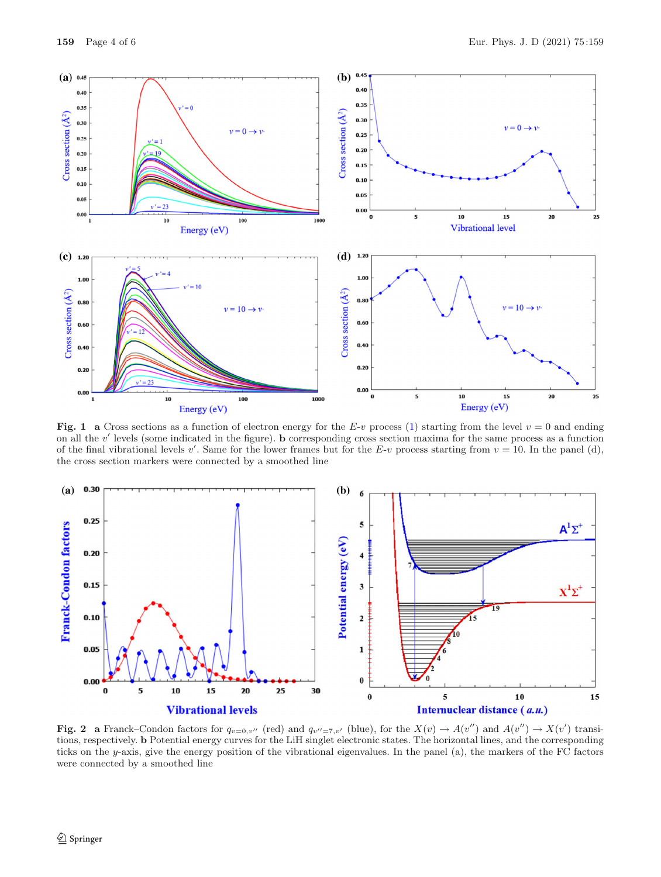

<span id="page-3-1"></span>**Fig. 1** a Cross sections as a function of electron energy for the E-v process [\(1\)](#page-0-1) starting from the level  $v = 0$  and ending on all the v' levels (some indicated in the figure). **b** corresponding cross section maxima for the same process as a function of the final vibrational levels v'. Same for the lower frames but for the E-v process starting from  $v = 10$ . In the panel (d), the cross section markers were connected by a smoothed line



<span id="page-3-0"></span>Fig. 2 a Franck–Condon factors for  $q_{v=0,v''}$  (red) and  $q_{v''=\overline{7},v'}$  (blue), for the  $X(v) \to A(v'')$  and  $A(v'') \to X(v')$  transitions, respectively. **b** Potential energy curves for the LiH singlet electronic states. The horizontal lines, and the corresponding ticks on the y-axis, give the energy position of the vibrational eigenvalues. In the panel (a), the markers of the FC factors were connected by a smoothed line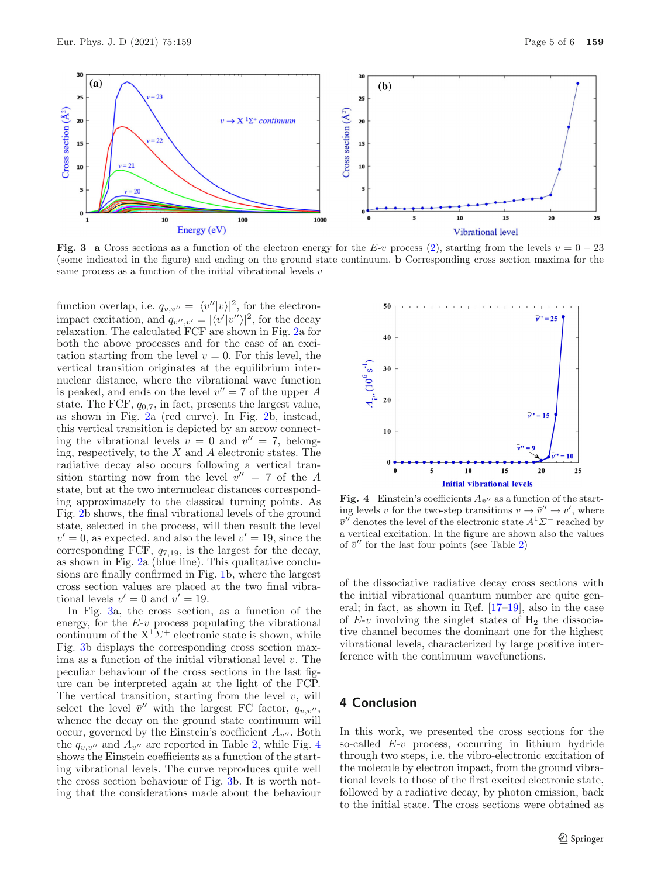

<span id="page-4-1"></span>**Fig. 3** a Cross sections as a function of the electron energy for the E-v process [\(2\)](#page-1-0), starting from the levels  $v = 0 - 23$ (some indicated in the figure) and ending on the ground state continuum. **b** Corresponding cross section maxima for the same process as a function of the initial vibrational levels  $v$ 

function overlap, i.e.  $q_{v,v''} = |\langle v''|v \rangle|^2$ , for the electronimpact excitation, and  $q_{v'',v'} = |\langle v'|v''\rangle|^2$ , for the decay relaxation. The calculated FCF are shown in Fig. [2a](#page-3-0) for both the above processes and for the case of an excitation starting from the level  $v = 0$ . For this level, the vertical transition originates at the equilibrium internuclear distance, where the vibrational wave function is peaked, and ends on the level  $v'' = 7$  of the upper A state. The FCF,  $q_{0,7}$ , in fact, presents the largest value, as shown in Fig. [2a](#page-3-0) (red curve). In Fig. [2b](#page-3-0), instead, this vertical transition is depicted by an arrow connecting the vibrational levels  $v = 0$  and  $v'' = 7$ , belonging, respectively, to the  $X$  and  $A$  electronic states. The radiative decay also occurs following a vertical transition starting now from the level  $v'' = 7$  of the A state, but at the two internuclear distances corresponding approximately to the classical turning points. As Fig. [2b](#page-3-0) shows, the final vibrational levels of the ground state, selected in the process, will then result the level  $v' = 0$ , as expected, and also the level  $v' = 19$ , since the corresponding FCF,  $q_{7,19}$ , is the largest for the decay, as shown in Fig. [2a](#page-3-0) (blue line). This qualitative conclusions are finally confirmed in Fig. [1b](#page-3-1), where the largest cross section values are placed at the two final vibrational levels  $v' = 0$  and  $v' = 19$ .

In Fig. [3a](#page-4-1), the cross section, as a function of the energy, for the  $E-v$  process populating the vibrational continuum of the  $X^1\Sigma^+$  electronic state is shown, while Fig. [3b](#page-4-1) displays the corresponding cross section maxima as a function of the initial vibrational level  $v$ . The peculiar behaviour of the cross sections in the last figure can be interpreted again at the light of the FCP. The vertical transition, starting from the level  $v$ , will select the level  $\bar{v}^{\prime\prime}$  with the largest FC factor,  $q_{v,\bar{v}^{\prime\prime}}$ , whence the decay on the ground state continuum will occur, governed by the Einstein's coefficient  $A_{\bar{v}^{\prime\prime}}$ . Both the  $q_{v,\bar{v}'}$  and  $A_{\bar{v}'}$  are reported in Table [2,](#page-5-21) while Fig. [4](#page-4-2) shows the Einstein coefficients as a function of the starting vibrational levels. The curve reproduces quite well the cross section behaviour of Fig. [3b](#page-4-1). It is worth noting that the considerations made about the behaviour



<span id="page-4-2"></span>**Fig. 4** Einstein's coefficients  $A_{\bar{v}^{\prime\prime}}$  as a function of the starting levels v for the two-step transitions  $v \to \bar{v}'' \to v'$ , where  $\bar{v}^{\prime\prime}$  denotes the level of the electronic state  $A^1\Sigma^+$  reached by a vertical excitation. In the figure are shown also the values of  $\bar{v}^{\prime\prime}$  for the last four points (see Table [2\)](#page-5-21)

of the dissociative radiative decay cross sections with the initial vibrational quantum number are quite general; in fact, as shown in Ref. [\[17](#page-5-13)[–19](#page-5-22)], also in the case of  $E-v$  involving the singlet states of  $H_2$  the dissociative channel becomes the dominant one for the highest vibrational levels, characterized by large positive interference with the continuum wavefunctions.

# <span id="page-4-0"></span>**4 Conclusion**

In this work, we presented the cross sections for the so-called  $E-v$  process, occurring in lithium hydride through two steps, i.e. the vibro-electronic excitation of the molecule by electron impact, from the ground vibrational levels to those of the first excited electronic state, followed by a radiative decay, by photon emission, back to the initial state. The cross sections were obtained as